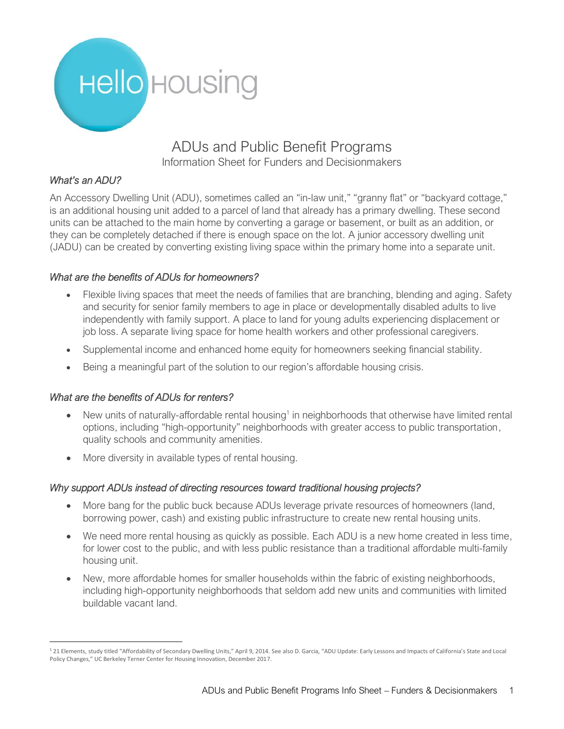

## ADUs and Public Benefit Programs Information Sheet for Funders and Decisionmakers

### *What's an ADU?*

An Accessory Dwelling Unit (ADU), sometimes called an "in-law unit," "granny flat" or "backyard cottage," is an additional housing unit added to a parcel of land that already has a primary dwelling. These second units can be attached to the main home by converting a garage or basement, or built as an addition, or they can be completely detached if there is enough space on the lot. A junior accessory dwelling unit (JADU) can be created by converting existing living space within the primary home into a separate unit.

### *What are the benefits of ADUs for homeowners?*

- Flexible living spaces that meet the needs of families that are branching, blending and aging. Safety and security for senior family members to age in place or developmentally disabled adults to live independently with family support. A place to land for young adults experiencing displacement or job loss. A separate living space for home health workers and other professional caregivers.
- Supplemental income and enhanced home equity for homeowners seeking financial stability.
- Being a meaningful part of the solution to our region's affordable housing crisis.

#### *What are the benefits of ADUs for renters?*

- New units of naturally-affordable rental housing<sup>1</sup> in neighborhoods that otherwise have limited rental options, including "high-opportunity" neighborhoods with greater access to public transportation, quality schools and community amenities.
- More diversity in available types of rental housing.

#### *Why support ADUs instead of directing resources toward traditional housing projects?*

- More bang for the public buck because ADUs leverage private resources of homeowners (land, borrowing power, cash) and existing public infrastructure to create new rental housing units.
- We need more rental housing as quickly as possible. Each ADU is a new home created in less time, for lower cost to the public, and with less public resistance than a traditional affordable multi-family housing unit.
- New, more affordable homes for smaller households within the fabric of existing neighborhoods, including high-opportunity neighborhoods that seldom add new units and communities with limited buildable vacant land.

<sup>1</sup> 21 Elements, study titled "Affordability of Secondary Dwelling Units," April 9, 2014. See also D. Garcia, "ADU Update: Early Lessons and Impacts of California's State and Local Policy Changes," UC Berkeley Terner Center for Housing Innovation, December 2017.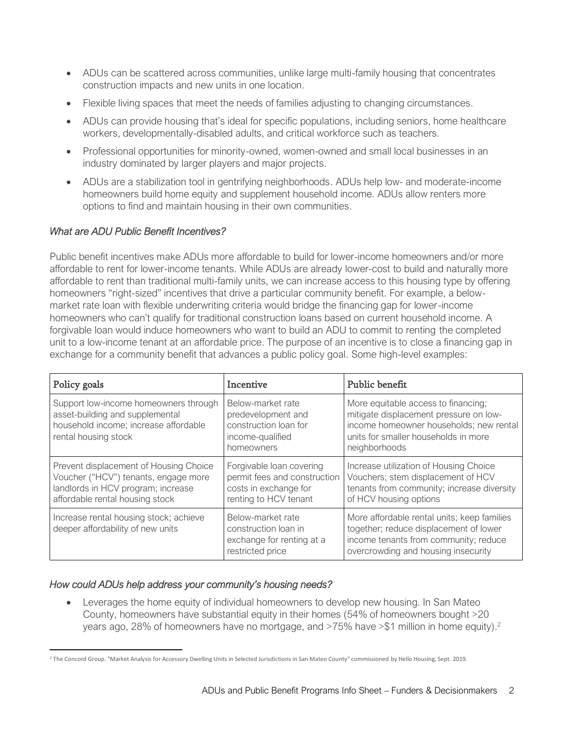- ADUs can be scattered across communities, unlike large multi-family housing that concentrates construction impacts and new units in one location.
- Flexible living spaces that meet the needs of families adjusting to changing circumstances.
- ADUs can provide housing that's ideal for specific populations, including seniors, home healthcare workers, developmentally-disabled adults, and critical workforce such as teachers.
- Professional opportunities for minority-owned, women-owned and small local businesses in an industry dominated by larger players and major projects.
- ADUs are a stabilization tool in gentrifying neighborhoods. ADUs help low- and moderate-income homeowners build home equity and supplement household income. ADUs allow renters more options to find and maintain housing in their own communities.

### *What are ADU Public Benefit Incentives?*

Public benefit incentives make ADUs more affordable to build for lower-income homeowners and/or more affordable to rent for lower-income tenants. While ADUs are already lower-cost to build and naturally more affordable to rent than traditional multi-family units, we can increase access to this housing type by offering homeowners "right-sized" incentives that drive a particular community benefit. For example, a belowmarket rate loan with flexible underwriting criteria would bridge the financing gap for lower-income homeowners who can't qualify for traditional construction loans based on current household income. A forgivable loan would induce homeowners who want to build an ADU to commit to renting the completed unit to a low-income tenant at an affordable price. The purpose of an incentive is to close a financing gap in exchange for a community benefit that advances a public policy goal. Some high-level examples:

| Policy goals                                                                                                                                            | Incentive                                                                                                  | Public benefit                                                                                                                                                                    |
|---------------------------------------------------------------------------------------------------------------------------------------------------------|------------------------------------------------------------------------------------------------------------|-----------------------------------------------------------------------------------------------------------------------------------------------------------------------------------|
| Support low-income homeowners through<br>asset-building and supplemental<br>household income; increase affordable<br>rental housing stock               | Below-market rate<br>predevelopment and<br>construction loan for<br>income-qualified<br>homeowners         | More equitable access to financing;<br>mitigate displacement pressure on low-<br>income homeowner households; new rental<br>units for smaller households in more<br>neighborhoods |
| Prevent displacement of Housing Choice<br>Voucher ("HCV") tenants, engage more<br>landlords in HCV program; increase<br>affordable rental housing stock | Forgivable loan covering<br>permit fees and construction<br>costs in exchange for<br>renting to HCV tenant | Increase utilization of Housing Choice<br>Vouchers; stem displacement of HCV<br>tenants from community; increase diversity<br>of HCV housing options                              |
| Increase rental housing stock; achieve<br>deeper affordability of new units                                                                             | Below-market rate<br>construction loan in<br>exchange for renting at a<br>restricted price                 | More affordable rental units; keep families<br>together; reduce displacement of lower<br>income tenants from community; reduce<br>overcrowding and housing insecurity             |

### *How could ADUs help address your community's housing needs?*

• Leverages the home equity of individual homeowners to develop new housing. In San Mateo County, homeowners have substantial equity in their homes (54% of homeowners bought >20 years ago, 28% of homeowners have no mortgage, and  $>75%$  have  $> $1$  million in home equity).<sup>2</sup>

<sup>&</sup>lt;sup>2</sup> The Concord Group. "Market Analysis for Accessory Dwelling Units in Selected Jurisdictions in San Mateo County" commissioned by Hello Housing, Sept. 2019.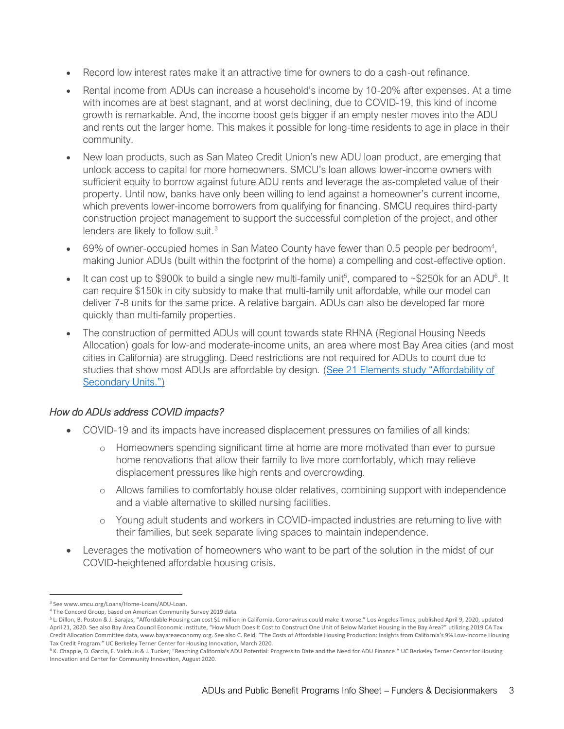- Record low interest rates make it an attractive time for owners to do a cash-out refinance.
- Rental income from ADUs can increase a household's income by 10-20% after expenses. At a time with incomes are at best stagnant, and at worst declining, due to COVID-19, this kind of income growth is remarkable. And, the income boost gets bigger if an empty nester moves into the ADU and rents out the larger home. This makes it possible for long-time residents to age in place in their community.
- New loan products, such as San Mateo Credit Union's new ADU loan product, are emerging that unlock access to capital for more homeowners. SMCU's loan allows lower-income owners with sufficient equity to borrow against future ADU rents and leverage the as-completed value of their property. Until now, banks have only been willing to lend against a homeowner's current income, which prevents lower-income borrowers from qualifying for financing. SMCU requires third-party construction project management to support the successful completion of the project, and other lenders are likely to follow suit. $3$
- 69% of owner-occupied homes in San Mateo County have fewer than 0.5 people per bedroom<sup>4</sup>, making Junior ADUs (built within the footprint of the home) a compelling and cost-effective option.
- It can cost up to \$900k to build a single new multi-family unit<sup>5</sup>, compared to ~\$250k for an ADU<sup>6</sup>. It can require \$150k in city subsidy to make that multi-family unit affordable, while our model can deliver 7-8 units for the same price. A relative bargain. ADUs can also be developed far more quickly than multi-family properties.
- The construction of permitted ADUs will count towards state RHNA (Regional Housing Needs Allocation) goals for low-and moderate-income units, an area where most Bay Area cities (and most cities in California) are struggling. Deed restrictions are not required for ADUs to count due to studies that show most ADUs are affordable by design. [\(See 21 Elements study](http://www.21elements.com/documents-mainmenu-3/housing-elements/rhna-5-2014-2022/sites-inventory/655-affordability-of-second-units/file) "Affordability of [Secondary Units."](http://www.21elements.com/documents-mainmenu-3/housing-elements/rhna-5-2014-2022/sites-inventory/655-affordability-of-second-units/file))

### *How do ADUs address COVID impacts?*

- COVID-19 and its impacts have increased displacement pressures on families of all kinds:
	- o Homeowners spending significant time at home are more motivated than ever to pursue home renovations that allow their family to live more comfortably, which may relieve displacement pressures like high rents and overcrowding.
	- o Allows families to comfortably house older relatives, combining support with independence and a viable alternative to skilled nursing facilities.
	- o Young adult students and workers in COVID-impacted industries are returning to live with their families, but seek separate living spaces to maintain independence.
- Leverages the motivation of homeowners who want to be part of the solution in the midst of our COVID-heightened affordable housing crisis.

<sup>3</sup> See www.smcu.org/Loans/Home-Loans/ADU-Loan.

<sup>4</sup> The Concord Group, based on American Community Survey 2019 data.

<sup>5</sup> L. Dillon, B. Poston & J. Barajas, "Affordable Housing can cost \$1 million in California. Coronavirus could make it worse." Los Angeles Times, published April 9, 2020, updated April 21, 2020. See also Bay Area Council Economic Institute, "How Much Does It Cost to Construct One Unit of Below Market Housing in the Bay Area?" utilizing 2019 CA Tax Credit Allocation Committee data, www.bayareaeconomy.org. See also C. Reid, "The Costs of Affordable Housing Production: Insights from California's 9% Low-Income Housing Tax Credit Program." UC Berkeley Terner Center for Housing Innovation, March 2020.

<sup>&</sup>lt;sup>6</sup> K. Chapple, D. Garcia, E. Valchuis & J. Tucker, "Reaching California's ADU Potential: Progress to Date and the Need for ADU Finance." UC Berkeley Terner Center for Housing Innovation and Center for Community Innovation, August 2020.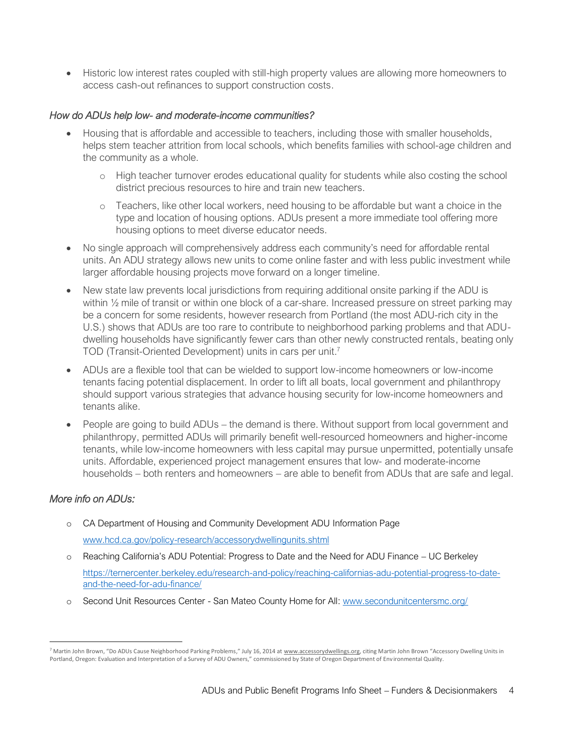• Historic low interest rates coupled with still-high property values are allowing more homeowners to access cash-out refinances to support construction costs.

#### *How do ADUs help low- and moderate-income communities?*

- Housing that is affordable and accessible to teachers, including those with smaller households, helps stem teacher attrition from local schools, which benefits families with school-age children and the community as a whole.
	- o High teacher turnover erodes educational quality for students while also costing the school district precious resources to hire and train new teachers.
	- o Teachers, like other local workers, need housing to be affordable but want a choice in the type and location of housing options. ADUs present a more immediate tool offering more housing options to meet diverse educator needs.
- No single approach will comprehensively address each community's need for affordable rental units. An ADU strategy allows new units to come online faster and with less public investment while larger affordable housing projects move forward on a longer timeline.
- New state law prevents local jurisdictions from requiring additional onsite parking if the ADU is within ½ mile of transit or within one block of a car-share. Increased pressure on street parking may be a concern for some residents, however research from Portland (the most ADU-rich city in the U.S.) shows that ADUs are too rare to contribute to neighborhood parking problems and that ADUdwelling households have significantly fewer cars than other newly constructed rentals, beating only TOD (Transit-Oriented Development) units in cars per unit.<sup>7</sup>
- ADUs are a flexible tool that can be wielded to support low-income homeowners or low-income tenants facing potential displacement. In order to lift all boats, local government and philanthropy should support various strategies that advance housing security for low-income homeowners and tenants alike.
- People are going to build ADUs the demand is there. Without support from local government and philanthropy, permitted ADUs will primarily benefit well-resourced homeowners and higher-income tenants, while low-income homeowners with less capital may pursue unpermitted, potentially unsafe units. Affordable, experienced project management ensures that low- and moderate-income households – both renters and homeowners – are able to benefit from ADUs that are safe and legal.

### *More info on ADUs:*

- o CA Department of Housing and Community Development ADU Information Page www.hcd.ca.gov/policy-research/accessorydwellingunits.shtml
- o Reaching California's ADU Potential: Progress to Date and the Need for ADU Finance UC Berkeley https://ternercenter.berkeley.edu/research-and-policy/reaching-californias-adu-potential-progress-to-dateand-the-need-for-adu-finance/
- o Second Unit Resources Center San Mateo County Home for All: www.secondunitcentersmc.org/

<sup>7</sup> Martin John Brown, "Do ADUs Cause Neighborhood Parking Problems," July 16, 2014 at www.accessorydwellings.org, citing Martin John Brown "Accessory Dwelling Units in Portland, Oregon: Evaluation and Interpretation of a Survey of ADU Owners," commissioned by State of Oregon Department of Environmental Quality.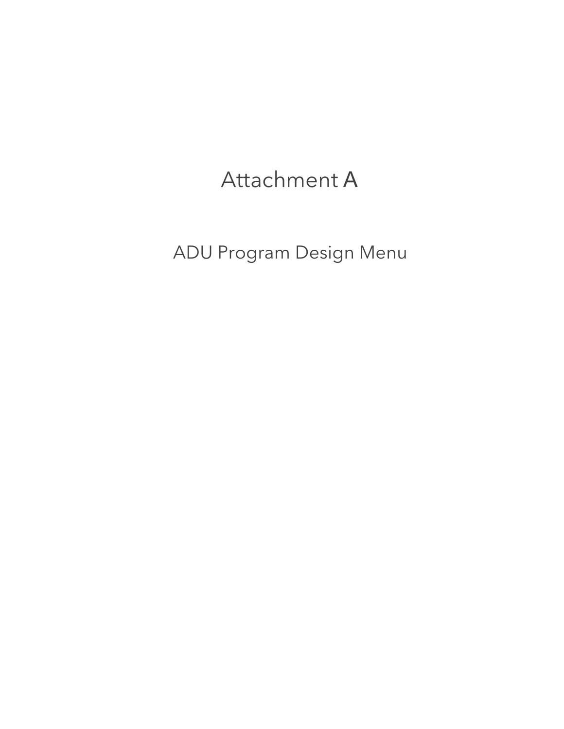# Attachment A

ADU Program Design Menu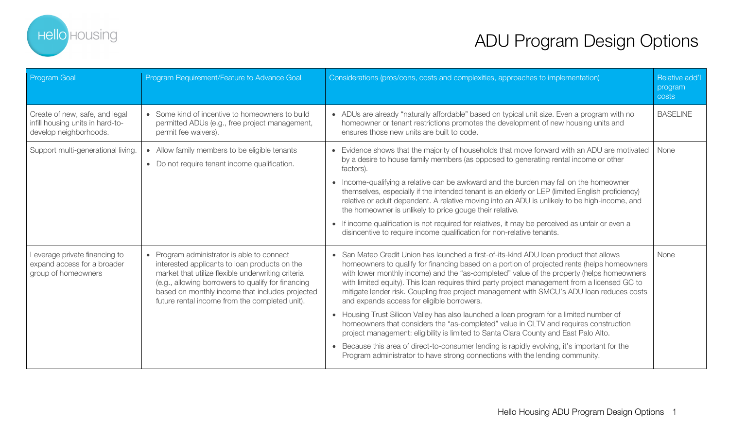

| Program Goal                                                                                 | Program Requirement/Feature to Advance Goal                                                                                                                                                                                                                                                                  | Considerations (pros/cons, costs and complexities, approaches to implementation)                                                                                                                                                                                                                                                                                                                                                                                                                                                                                                                                                                                                                                                                                                                                                                                                                                                                                                           | Relative add'l<br>program<br>costs |
|----------------------------------------------------------------------------------------------|--------------------------------------------------------------------------------------------------------------------------------------------------------------------------------------------------------------------------------------------------------------------------------------------------------------|--------------------------------------------------------------------------------------------------------------------------------------------------------------------------------------------------------------------------------------------------------------------------------------------------------------------------------------------------------------------------------------------------------------------------------------------------------------------------------------------------------------------------------------------------------------------------------------------------------------------------------------------------------------------------------------------------------------------------------------------------------------------------------------------------------------------------------------------------------------------------------------------------------------------------------------------------------------------------------------------|------------------------------------|
| Create of new, safe, and legal<br>infill housing units in hard-to-<br>develop neighborhoods. | • Some kind of incentive to homeowners to build<br>permitted ADUs (e.g., free project management,<br>permit fee waivers).                                                                                                                                                                                    | • ADUs are already "naturally affordable" based on typical unit size. Even a program with no<br>homeowner or tenant restrictions promotes the development of new housing units and<br>ensures those new units are built to code.                                                                                                                                                                                                                                                                                                                                                                                                                                                                                                                                                                                                                                                                                                                                                           | <b>BASELINE</b>                    |
| Support multi-generational living.                                                           | • Allow family members to be eligible tenants<br>• Do not require tenant income qualification.                                                                                                                                                                                                               | • Evidence shows that the majority of households that move forward with an ADU are motivated<br>by a desire to house family members (as opposed to generating rental income or other<br>factors).<br>• Income-qualifying a relative can be awkward and the burden may fall on the homeowner<br>themselves, especially if the intended tenant is an elderly or LEP (limited English proficiency)<br>relative or adult dependent. A relative moving into an ADU is unlikely to be high-income, and<br>the homeowner is unlikely to price gouge their relative.<br>• If income qualification is not required for relatives, it may be perceived as unfair or even a<br>disincentive to require income qualification for non-relative tenants.                                                                                                                                                                                                                                                 | None                               |
| Leverage private financing to<br>expand access for a broader<br>group of homeowners          | • Program administrator is able to connect<br>interested applicants to loan products on the<br>market that utilize flexible underwriting criteria<br>(e.g., allowing borrowers to qualify for financing<br>based on monthly income that includes projected<br>future rental income from the completed unit). | • San Mateo Credit Union has launched a first-of-its-kind ADU loan product that allows<br>homeowners to qualify for financing based on a portion of projected rents (helps homeowners<br>with lower monthly income) and the "as-completed" value of the property (helps homeowners<br>with limited equity). This loan requires third party project management from a licensed GC to<br>mitigate lender risk. Coupling free project management with SMCU's ADU loan reduces costs<br>and expands access for eligible borrowers.<br>• Housing Trust Silicon Valley has also launched a loan program for a limited number of<br>homeowners that considers the "as-completed" value in CLTV and requires construction<br>project management: eligibility is limited to Santa Clara County and East Palo Alto.<br>• Because this area of direct-to-consumer lending is rapidly evolving, it's important for the<br>Program administrator to have strong connections with the lending community. | None                               |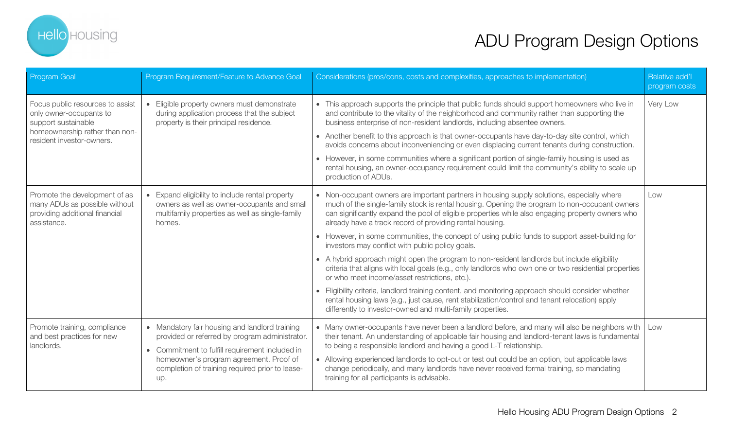

| <b>Program Goal</b>                                                                                                                               | Program Requirement/Feature to Advance Goal                                                                                                                                                                                                              | Considerations (pros/cons, costs and complexities, approaches to implementation)                                                                                                                                                                                                                                                                                                                                                                                                                                                                                                                                                                                                                                                                                                                                                                                                                                                                                                                                                                   | Relative add'l<br>program costs |
|---------------------------------------------------------------------------------------------------------------------------------------------------|----------------------------------------------------------------------------------------------------------------------------------------------------------------------------------------------------------------------------------------------------------|----------------------------------------------------------------------------------------------------------------------------------------------------------------------------------------------------------------------------------------------------------------------------------------------------------------------------------------------------------------------------------------------------------------------------------------------------------------------------------------------------------------------------------------------------------------------------------------------------------------------------------------------------------------------------------------------------------------------------------------------------------------------------------------------------------------------------------------------------------------------------------------------------------------------------------------------------------------------------------------------------------------------------------------------------|---------------------------------|
| Focus public resources to assist<br>only owner-occupants to<br>support sustainable<br>homeownership rather than non-<br>resident investor-owners. | Eligible property owners must demonstrate<br>$\bullet$<br>during application process that the subject<br>property is their principal residence.                                                                                                          | • This approach supports the principle that public funds should support homeowners who live in<br>and contribute to the vitality of the neighborhood and community rather than supporting the<br>business enterprise of non-resident landlords, including absentee owners.<br>• Another benefit to this approach is that owner-occupants have day-to-day site control, which<br>avoids concerns about inconveniencing or even displacing current tenants during construction.<br>• However, in some communities where a significant portion of single-family housing is used as<br>rental housing, an owner-occupancy requirement could limit the community's ability to scale up<br>production of ADUs.                                                                                                                                                                                                                                                                                                                                           | Very Low                        |
| Promote the development of as<br>many ADUs as possible without<br>providing additional financial<br>assistance.                                   | • Expand eligibility to include rental property<br>owners as well as owner-occupants and small<br>multifamily properties as well as single-family<br>homes.                                                                                              | • Non-occupant owners are important partners in housing supply solutions, especially where<br>much of the single-family stock is rental housing. Opening the program to non-occupant owners<br>can significantly expand the pool of eligible properties while also engaging property owners who<br>already have a track record of providing rental housing.<br>• However, in some communities, the concept of using public funds to support asset-building for<br>investors may conflict with public policy goals.<br>• A hybrid approach might open the program to non-resident landlords but include eligibility<br>criteria that aligns with local goals (e.g., only landlords who own one or two residential properties<br>or who meet income/asset restrictions, etc.).<br>• Eligibility criteria, landlord training content, and monitoring approach should consider whether<br>rental housing laws (e.g., just cause, rent stabilization/control and tenant relocation) apply<br>differently to investor-owned and multi-family properties. | Low                             |
| Promote training, compliance<br>and best practices for new<br>landlords.                                                                          | • Mandatory fair housing and landlord training<br>provided or referred by program administrator.<br>• Commitment to fulfill requirement included in<br>homeowner's program agreement. Proof of<br>completion of training required prior to lease-<br>up. | • Many owner-occupants have never been a landlord before, and many will also be neighbors with   Low<br>their tenant. An understanding of applicable fair housing and landlord-tenant laws is fundamental<br>to being a responsible landlord and having a good L-T relationship.<br>• Allowing experienced landlords to opt-out or test out could be an option, but applicable laws<br>change periodically, and many landlords have never received formal training, so mandating<br>training for all participants is advisable.                                                                                                                                                                                                                                                                                                                                                                                                                                                                                                                    |                                 |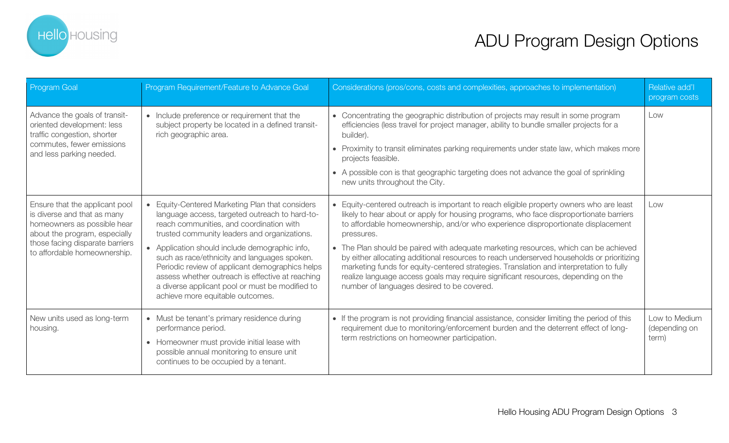

| Program Goal                                                                                                                                                                                     | Program Requirement/Feature to Advance Goal                                                                                                                                                                                                                                                                                                                                                                                                                                                 | Considerations (pros/cons, costs and complexities, approaches to implementation)                                                                                                                                                                                                                                                                                                                                                                                                                                                                                                                                                                                                                       | Relative add'l<br>program costs         |
|--------------------------------------------------------------------------------------------------------------------------------------------------------------------------------------------------|---------------------------------------------------------------------------------------------------------------------------------------------------------------------------------------------------------------------------------------------------------------------------------------------------------------------------------------------------------------------------------------------------------------------------------------------------------------------------------------------|--------------------------------------------------------------------------------------------------------------------------------------------------------------------------------------------------------------------------------------------------------------------------------------------------------------------------------------------------------------------------------------------------------------------------------------------------------------------------------------------------------------------------------------------------------------------------------------------------------------------------------------------------------------------------------------------------------|-----------------------------------------|
| Advance the goals of transit-<br>oriented development: less<br>traffic congestion, shorter<br>commutes, fewer emissions<br>and less parking needed.                                              | • Include preference or requirement that the<br>subject property be located in a defined transit-<br>rich geographic area.                                                                                                                                                                                                                                                                                                                                                                  | • Concentrating the geographic distribution of projects may result in some program<br>efficiencies (less travel for project manager, ability to bundle smaller projects for a<br>builder).<br>• Proximity to transit eliminates parking requirements under state law, which makes more<br>projects feasible.<br>• A possible con is that geographic targeting does not advance the goal of sprinkling<br>new units throughout the City.                                                                                                                                                                                                                                                                | Low                                     |
| Ensure that the applicant pool<br>is diverse and that as many<br>homeowners as possible hear<br>about the program, especially<br>those facing disparate barriers<br>to affordable homeownership. | Equity-Centered Marketing Plan that considers<br>language access, targeted outreach to hard-to-<br>reach communities, and coordination with<br>trusted community leaders and organizations.<br>• Application should include demographic info,<br>such as race/ethnicity and languages spoken.<br>Periodic review of applicant demographics helps<br>assess whether outreach is effective at reaching<br>a diverse applicant pool or must be modified to<br>achieve more equitable outcomes. | • Equity-centered outreach is important to reach eligible property owners who are least<br>likely to hear about or apply for housing programs, who face disproportionate barriers<br>to affordable homeownership, and/or who experience disproportionate displacement<br>pressures.<br>• The Plan should be paired with adequate marketing resources, which can be achieved<br>by either allocating additional resources to reach underserved households or prioritizing<br>marketing funds for equity-centered strategies. Translation and interpretation to fully<br>realize language access goals may require significant resources, depending on the<br>number of languages desired to be covered. | Low                                     |
| New units used as long-term<br>housing.                                                                                                                                                          | • Must be tenant's primary residence during<br>performance period.<br>• Homeowner must provide initial lease with<br>possible annual monitoring to ensure unit<br>continues to be occupied by a tenant.                                                                                                                                                                                                                                                                                     | • If the program is not providing financial assistance, consider limiting the period of this<br>requirement due to monitoring/enforcement burden and the deterrent effect of long-<br>term restrictions on homeowner participation.                                                                                                                                                                                                                                                                                                                                                                                                                                                                    | Low to Medium<br>(depending on<br>term) |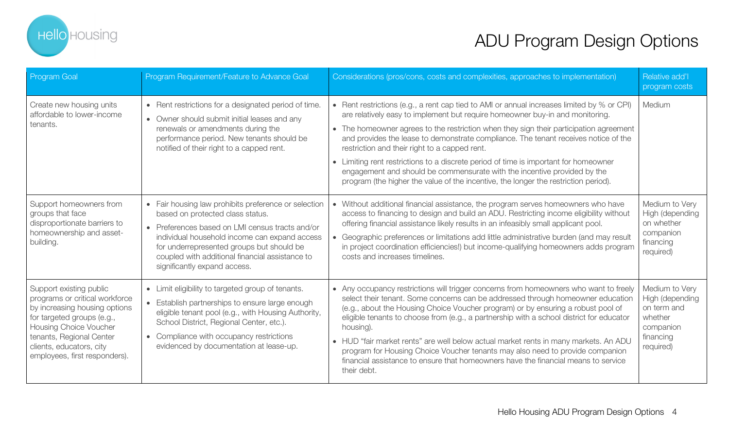

| <b>Program Goal</b>                                                                                                                                                                                                                         | Program Requirement/Feature to Advance Goal                                                                                                                                                                                                                                                                                  | Considerations (pros/cons, costs and complexities, approaches to implementation)                                                                                                                                                                                                                                                                                                                                                                                                                                                                                                                                                                                         | Relative add'l<br>program costs                                                                    |
|---------------------------------------------------------------------------------------------------------------------------------------------------------------------------------------------------------------------------------------------|------------------------------------------------------------------------------------------------------------------------------------------------------------------------------------------------------------------------------------------------------------------------------------------------------------------------------|--------------------------------------------------------------------------------------------------------------------------------------------------------------------------------------------------------------------------------------------------------------------------------------------------------------------------------------------------------------------------------------------------------------------------------------------------------------------------------------------------------------------------------------------------------------------------------------------------------------------------------------------------------------------------|----------------------------------------------------------------------------------------------------|
| Create new housing units<br>affordable to lower-income<br>tenants.                                                                                                                                                                          | • Rent restrictions for a designated period of time.<br>• Owner should submit initial leases and any<br>renewals or amendments during the<br>performance period. New tenants should be<br>notified of their right to a capped rent.                                                                                          | • Rent restrictions (e.g., a rent cap tied to AMI or annual increases limited by % or CPI)<br>are relatively easy to implement but require homeowner buy-in and monitoring.<br>• The homeowner agrees to the restriction when they sign their participation agreement<br>and provides the lease to demonstrate compliance. The tenant receives notice of the<br>restriction and their right to a capped rent.<br>• Limiting rent restrictions to a discrete period of time is important for homeowner<br>engagement and should be commensurate with the incentive provided by the<br>program (the higher the value of the incentive, the longer the restriction period). | Medium                                                                                             |
| Support homeowners from<br>groups that face<br>disproportionate barriers to<br>homeownership and asset-<br>building.                                                                                                                        | • Fair housing law prohibits preference or selection<br>based on protected class status.<br>• Preferences based on LMI census tracts and/or<br>individual household income can expand access<br>for underrepresented groups but should be<br>coupled with additional financial assistance to<br>significantly expand access. | • Without additional financial assistance, the program serves homeowners who have<br>access to financing to design and build an ADU. Restricting income eligibility without<br>offering financial assistance likely results in an infeasibly small applicant pool.<br>• Geographic preferences or limitations add little administrative burden (and may result<br>in project coordination efficiencies!) but income-qualifying homeowners adds program<br>costs and increases timelines.                                                                                                                                                                                 | Medium to Very<br>High (depending<br>on whether<br>companion<br>financing<br>required)             |
| Support existing public<br>programs or critical workforce<br>by increasing housing options<br>for targeted groups (e.g.,<br>Housing Choice Voucher<br>tenants, Regional Center<br>clients, educators, city<br>employees, first responders). | • Limit eligibility to targeted group of tenants.<br>• Establish partnerships to ensure large enough<br>eligible tenant pool (e.g., with Housing Authority,<br>School District, Regional Center, etc.).<br>Compliance with occupancy restrictions<br>$\bullet$<br>evidenced by documentation at lease-up.                    | • Any occupancy restrictions will trigger concerns from homeowners who want to freely<br>select their tenant. Some concerns can be addressed through homeowner education<br>(e.g., about the Housing Choice Voucher program) or by ensuring a robust pool of<br>eligible tenants to choose from (e.g., a partnership with a school district for educator<br>housing).<br>• HUD "fair market rents" are well below actual market rents in many markets. An ADU<br>program for Housing Choice Voucher tenants may also need to provide companion<br>financial assistance to ensure that homeowners have the financial means to service<br>their debt.                      | Medium to Very<br>High (depending<br>on term and<br>whether<br>companion<br>financing<br>required) |